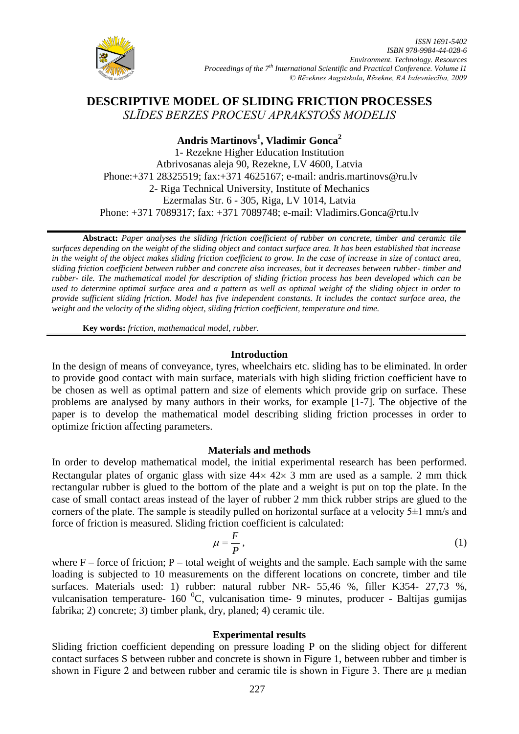

# **DESCRIPTIVE MODEL OF SLIDING FRICTION PROCESSES** *SLĪDES BERZES PROCESU APRAKSTOŠS MODELIS*

# **Andris Martinovs<sup>1</sup> , Vladimir Gonca<sup>2</sup>**

1- Rezekne Higher Education Institution Atbrivosanas aleja 90, Rezekne, LV 4600, Latvia Phone:+371 28325519; fax:+371 4625167; e-mail: andris.martinovs@ru.lv 2- Riga Technical University, Institute of Mechanics Ezermalas Str. 6 - 305, Riga, LV 1014, Latvia Phone: +371 7089317; fax: +371 7089748; e-mail: Vladimirs.Gonca@rtu.lv

**Abstract:** *Paper analyses the sliding friction coefficient of rubber on concrete, timber and ceramic tile surfaces depending on the weight of the sliding object and contact surface area. It has been established that increase in the weight of the object makes sliding friction coefficient to grow. In the case of increase in size of contact area, sliding friction coefficient between rubber and concrete also increases, but it decreases between rubber- timber and rubber- tile. The mathematical model for description of sliding friction process has been developed which can be used to determine optimal surface area and a pattern as well as optimal weight of the sliding object in order to provide sufficient sliding friction. Model has five independent constants. It includes the contact surface area, the weight and the velocity of the sliding object, sliding friction coefficient, temperature and time.*

**Key words:** *friction, mathematical model, rubber.*

# **Introduction**

In the design of means of conveyance, tyres, wheelchairs etc. sliding has to be eliminated. In order to provide good contact with main surface, materials with high sliding friction coefficient have to be chosen as well as optimal pattern and size of elements which provide grip on surface. These problems are analysed by many authors in their works, for example [1-7]. The objective of the paper is to develop the mathematical model describing sliding friction processes in order to optimize friction affecting parameters.

# **Materials and methods**

In order to develop mathematical model, the initial experimental research has been performed. Rectangular plates of organic glass with size  $44 \times 42 \times 3$  mm are used as a sample. 2 mm thick rectangular rubber is glued to the bottom of the plate and a weight is put on top the plate. In the case of small contact areas instead of the layer of rubber 2 mm thick rubber strips are glued to the corners of the plate. The sample is steadily pulled on horizontal surface at a velocity 5±1 mm/s and force of friction is measured. Sliding friction coefficient is calculated:

$$
\mu = \frac{F}{P},\tag{1}
$$

where  $F$  – force of friction; P – total weight of weights and the sample. Each sample with the same loading is subjected to 10 measurements on the different locations on concrete, timber and tile surfaces. Materials used: 1) rubber: natural rubber NR- 55,46 %, filler K354- 27,73 %, vulcanisation temperature- 160 $^{0}$ C, vulcanisation time- 9 minutes, producer - Baltijas gumijas fabrika; 2) concrete; 3) timber plank, dry, planed; 4) ceramic tile.

# **Experimental results**

Sliding friction coefficient depending on pressure loading P on the sliding object for different contact surfaces S between rubber and concrete is shown in Figure 1, between rubber and timber is shown in Figure 2 and between rubber and ceramic tile is shown in Figure 3. There are  $\mu$  median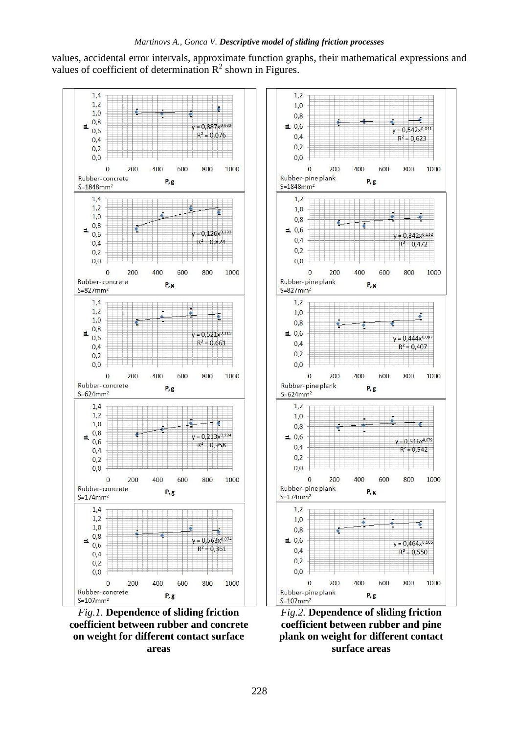values, accidental error intervals, approximate function graphs, their mathematical expressions and values of coefficient of determination  $\mathbb{R}^2$  shown in Figures.



*Fig.1.* **Dependence of sliding friction coefficient between rubber and concrete on weight for different contact surface areas**



*Fig.2.* **Dependence of sliding friction coefficient between rubber and pine plank on weight for different contact surface areas**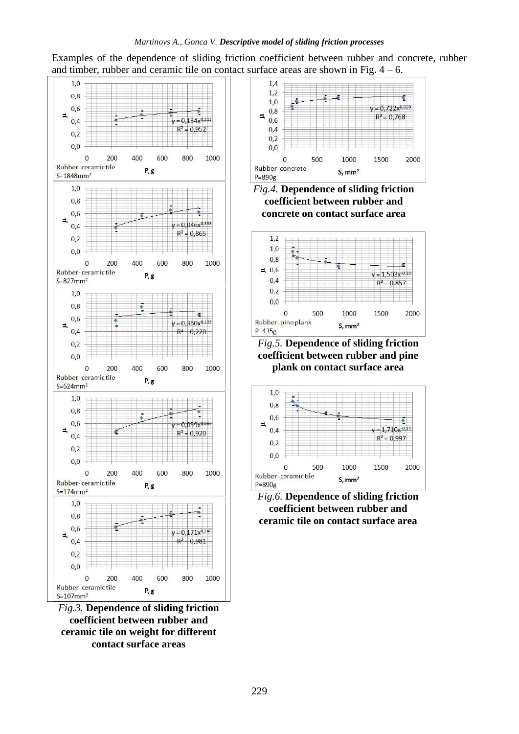# *Martinovs A., Gonca V. Descriptive model of sliding friction processes*

Examples of the dependence of sliding friction coefficient between rubber and concrete, rubber and timber, rubber and ceramic tile on contact surface areas are shown in Fig.  $4 - 6$ .



*Fig.3.* **Dependence of sliding friction coefficient between rubber and ceramic tile on weight for different contact surface areas**







*Fig.5.* **Dependence of sliding friction coefficient between rubber and pine plank on contact surface area**



*Fig.6.* **Dependence of sliding friction coefficient between rubber and ceramic tile on contact surface area**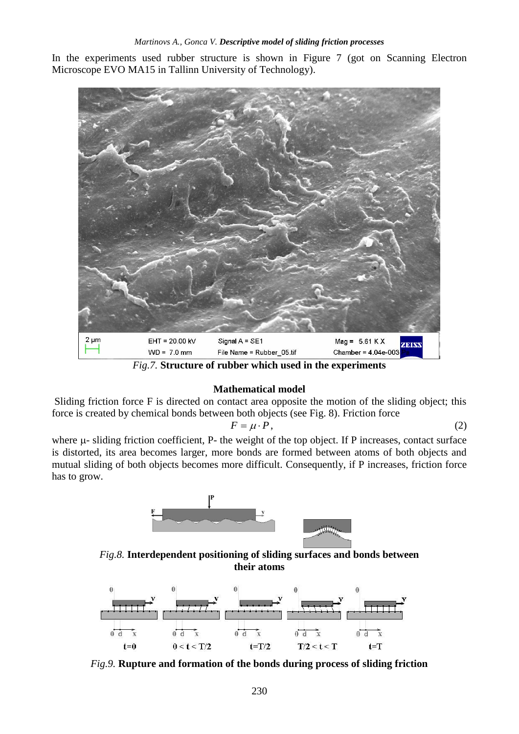In the experiments used rubber structure is shown in Figure 7 (got on Scanning Electron Microscope EVO MA15 in Tallinn University of Technology).



*Fig.7.* **Structure of rubber which used in the experiments**

# **Mathematical model**

Sliding friction force F is directed on contact area opposite the motion of the sliding object; this force is created by chemical bonds between both objects (see Fig. 8). Friction force

$$
F = \mu \cdot P,\tag{2}
$$

where  $\mu$ - sliding friction coefficient, P- the weight of the top object. If P increases, contact surface is distorted, its area becomes larger, more bonds are formed between atoms of both objects and mutual sliding of both objects becomes more difficult. Consequently, if P increases, friction force has to grow.



*Fig.8.* **Interdependent positioning of sliding surfaces and bonds between their atoms**



*Fig.9.* **Rupture and formation of the bonds during process of sliding friction**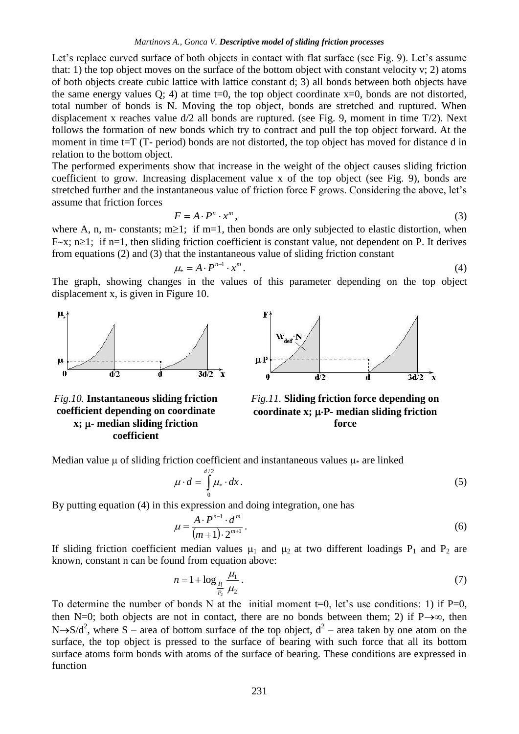Let's replace curved surface of both objects in contact with flat surface (see Fig. 9). Let's assume that: 1) the top object moves on the surface of the bottom object with constant velocity v; 2) atoms of both objects create cubic lattice with lattice constant d; 3) all bonds between both objects have the same energy values  $Q$ ; 4) at time t=0, the top object coordinate  $x=0$ , bonds are not distorted, total number of bonds is N. Moving the top object, bonds are stretched and ruptured. When displacement x reaches value d/2 all bonds are ruptured. (see Fig. 9, moment in time T/2). Next follows the formation of new bonds which try to contract and pull the top object forward. At the moment in time t=T (T- period) bonds are not distorted, the top object has moved for distance d in relation to the bottom object.

The performed experiments show that increase in the weight of the object causes sliding friction coefficient to grow. Increasing displacement value x of the top object (see Fig. 9), bonds are stretched further and the instantaneous value of friction force F grows. Considering the above, let's assume that friction forces

$$
F = A \cdot P^n \cdot x^m,\tag{3}
$$

where A, n, m- constants; m $\geq 1$ ; if m=1, then bonds are only subjected to elastic distortion, when F $\sim$ x; n $\geq$ 1; if n=1, then sliding friction coefficient is constant value, not dependent on P. It derives from equations (2) and (3) that the instantaneous value of sliding friction constant

$$
\mu_* = A \cdot P^{n-1} \cdot x^m. \tag{4}
$$

The graph, showing changes in the values of this parameter depending on the top object displacement x, is given in Figure 10.



*Fig.10.* **Instantaneous sliding friction coefficient depending on coordinate x; - median sliding friction coefficient**



*Fig.11.* **Sliding friction force depending on**  coordinate  $x$ ;  $\mu$ -**P**- median sliding friction **force**

Median value  $\mu$  of sliding friction coefficient and instantaneous values  $\mu^*$  are linked

$$
\mu \cdot d = \int_{0}^{d/2} \mu_* \cdot dx. \tag{5}
$$

By putting equation (4) in this expression and doing integration, one has

$$
\mu = \frac{A \cdot P^{n-1} \cdot d^m}{(m+1) \cdot 2^{m+1}}.
$$
\n
$$
(6)
$$

If sliding friction coefficient median values  $\mu_1$  and  $\mu_2$  at two different loadings P<sub>1</sub> and P<sub>2</sub> are known, constant n can be found from equation above:

$$
n = 1 + \log_{\frac{R}{T_2}} \frac{\mu_1}{\mu_2} \,. \tag{7}
$$

To determine the number of bonds N at the initial moment  $t=0$ , let's use conditions: 1) if P=0, then N=0; both objects are not in contact, there are no bonds between them; 2) if  $P\rightarrow\infty$ , then N $\rightarrow$ S/d<sup>2</sup>, where S – area of bottom surface of the top object,  $d^2$  – area taken by one atom on the surface, the top object is pressed to the surface of bearing with such force that all its bottom surface atoms form bonds with atoms of the surface of bearing. These conditions are expressed in function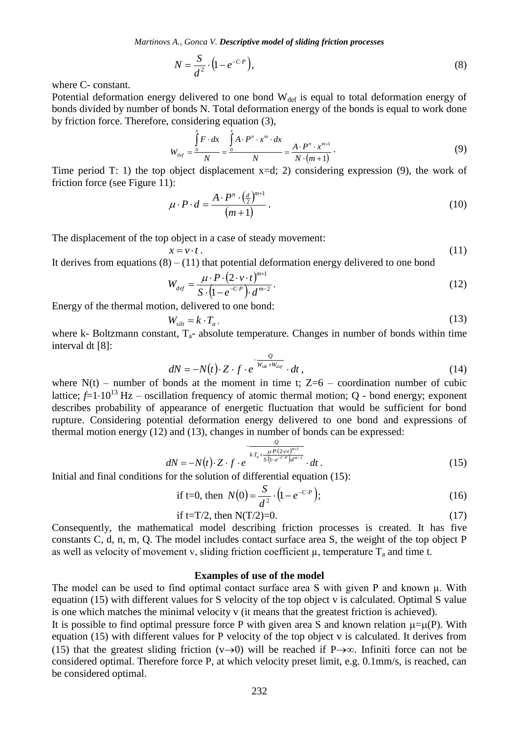*Martinovs A., Gonca V. Descriptive model of sliding friction processes*

$$
N = \frac{S}{d^2} \cdot \left(1 - e^{-C \cdot P}\right),\tag{8}
$$

where C- constant.

Potential deformation energy delivered to one bond  $W_{def}$  is equal to total deformation energy of bonds divided by number of bonds N. Total deformation energy of the bonds is equal to work done by friction force. Therefore, considering equation (3),

$$
W_{def} = \frac{\int\limits_{0}^{x} F \cdot dx}{N} = \frac{\int\limits_{0}^{x} A \cdot P^{n} \cdot x^{m} \cdot dx}{N} = \frac{A \cdot P^{n} \cdot x^{m+1}}{N \cdot (m+1)}.
$$
 (9)

Time period T: 1) the top object displacement  $x=d$ ; 2) considering expression (9), the work of friction force (see Figure 11):

$$
\mu \cdot P \cdot d = \frac{A \cdot P^n \cdot \left(\frac{d}{2}\right)^{m+1}}{(m+1)}\,. \tag{10}
$$

The displacement of the top object in a case of steady movement:

$$
x = v \cdot t \tag{11}
$$

It derives from equations  $(8) - (11)$  that potential deformation energy delivered to one bond

$$
W_{def} = \frac{\mu \cdot P \cdot (2 \cdot v \cdot t)^{m+1}}{S \cdot (1 - e^{-C \cdot P}) \cdot d^{m-2}}.
$$
\n(12)

Energy of the thermal motion, delivered to one bond:

$$
W_{\text{slit}} = k \cdot T_a \tag{13}
$$

where k- Boltzmann constant,  $T_a$ - absolute temperature. Changes in number of bonds within time interval dt [8]:

$$
dN = -N(t) \cdot Z \cdot f \cdot e^{-\frac{Q}{W_{suk} + W_{dof}}} \cdot dt,
$$
\n(14)

where  $N(t)$  – number of bonds at the moment in time t; Z=6 – coordination number of cubic lattice;  $\hat{f}=1.10^{13}$  Hz – oscillation frequency of atomic thermal motion; Q - bond energy; exponent describes probability of appearance of energetic fluctuation that would be sufficient for bond rupture. Considering potential deformation energy delivered to one bond and expressions of thermal motion energy (12) and (13), changes in number of bonds can be expressed:

$$
dN = -N(t) \cdot Z \cdot f \cdot e^{\frac{Q}{kT_a + \frac{\mu P (2\nu t)^{m+1}}{S (1 - e^{-C \cdot P}) d^{m-2}}}} \cdot dt \,. \tag{15}
$$

Initial and final conditions for the solution of differential equation (15):

if t=0, then 
$$
N(0) = \frac{S}{d^2} \cdot (1 - e^{-C \cdot P});
$$
 (16)

if t=T/2, then N(T/2)=0. 
$$
(17)
$$

Consequently, the mathematical model describing friction processes is created. It has five constants C, d, n, m, Q. The model includes contact surface area S, the weight of the top object P as well as velocity of movement v, sliding friction coefficient  $\mu$ , temperature  $T_a$  and time t.

#### **Examples of use of the model**

The model can be used to find optimal contact surface area S with given P and known  $\mu$ . With equation (15) with different values for S velocity of the top object v is calculated. Optimal S value is one which matches the minimal velocity v (it means that the greatest friction is achieved).

 $(1-e^{-C.P})$ ,<br>
and to one bon<br>
Total deform<br>
and to one bon<br>
Total deform<br>
and deform<br>  $\frac{dx}{dx} = \int_{0}^{x} A \cdot P^n \cdot x^n$ <br>
placement x=<br>  $\frac{A \cdot P^n \cdot (\frac{d}{2})^{m+1}}{N}$ <br>  $(m+1)$ <br>
a case of stead<br>
at potential deform<br>
at potential deform It is possible to find optimal pressure force P with given area S and known relation  $\mu = \mu(P)$ . With equation (15) with different values for P velocity of the top object v is calculated. It derives from (15) that the greatest sliding friction  $(v\rightarrow 0)$  will be reached if P $\rightarrow \infty$ . Infiniti force can not be considered optimal. Therefore force P, at which velocity preset limit, e.g. 0.1mm/s, is reached, can be considered optimal.